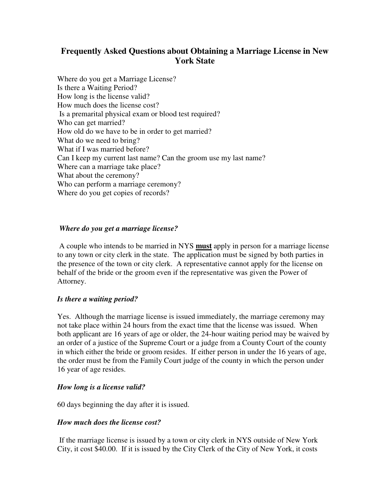# **Frequently Asked Questions about Obtaining a Marriage License in New York State**

Where do you get a Marriage License? Is there a Waiting Period? How long is the license valid? How much does the license cost? Is a premarital physical exam or blood test required? Who can get married? How old do we have to be in order to get married? What do we need to bring? What if I was married before? Can I keep my current last name? Can the groom use my last name? Where can a marriage take place? What about the ceremony? Who can perform a marriage ceremony? Where do you get copies of records?

# *Where do you get a marriage license?*

 A couple who intends to be married in NYS **must** apply in person for a marriage license to any town or city clerk in the state. The application must be signed by both parties in the presence of the town or city clerk. A representative cannot apply for the license on behalf of the bride or the groom even if the representative was given the Power of Attorney.

### *Is there a waiting period?*

Yes. Although the marriage license is issued immediately, the marriage ceremony may not take place within 24 hours from the exact time that the license was issued. When both applicant are 16 years of age or older, the 24-hour waiting period may be waived by an order of a justice of the Supreme Court or a judge from a County Court of the county in which either the bride or groom resides. If either person in under the 16 years of age, the order must be from the Family Court judge of the county in which the person under 16 year of age resides.

### *How long is a license valid?*

60 days beginning the day after it is issued.

### *How much does the license cost?*

 If the marriage license is issued by a town or city clerk in NYS outside of New York City, it cost \$40.00. If it is issued by the City Clerk of the City of New York, it costs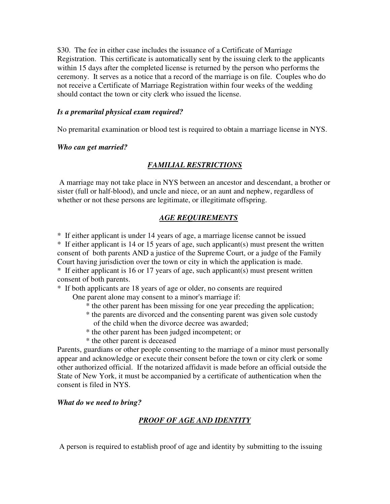\$30. The fee in either case includes the issuance of a Certificate of Marriage Registration. This certificate is automatically sent by the issuing clerk to the applicants within 15 days after the completed license is returned by the person who performs the ceremony. It serves as a notice that a record of the marriage is on file. Couples who do not receive a Certificate of Marriage Registration within four weeks of the wedding should contact the town or city clerk who issued the license.

### *Is a premarital physical exam required?*

No premarital examination or blood test is required to obtain a marriage license in NYS.

### *Who can get married?*

# *FAMILIAL RESTRICTIONS*

 A marriage may not take place in NYS between an ancestor and descendant, a brother or sister (full or half-blood), and uncle and niece, or an aunt and nephew, regardless of whether or not these persons are legitimate, or illegitimate offspring.

### *AGE REQUIREMENTS*

\* If either applicant is under 14 years of age, a marriage license cannot be issued

\* If either applicant is 14 or 15 years of age, such applicant(s) must present the written consent of both parents AND a justice of the Supreme Court, or a judge of the Family Court having jurisdiction over the town or city in which the application is made. \* If either applicant is 16 or 17 years of age, such applicant(s) must present written consent of both parents.

\* If both applicants are 18 years of age or older, no consents are required

One parent alone may consent to a minor's marriage if:

- \* the other parent has been missing for one year preceding the application;
- \* the parents are divorced and the consenting parent was given sole custody of the child when the divorce decree was awarded;
- \* the other parent has been judged incompetent; or
- \* the other parent is deceased

Parents, guardians or other people consenting to the marriage of a minor must personally appear and acknowledge or execute their consent before the town or city clerk or some other authorized official. If the notarized affidavit is made before an official outside the State of New York, it must be accompanied by a certificate of authentication when the consent is filed in NYS.

### *What do we need to bring?*

# *PROOF OF AGE AND IDENTITY*

A person is required to establish proof of age and identity by submitting to the issuing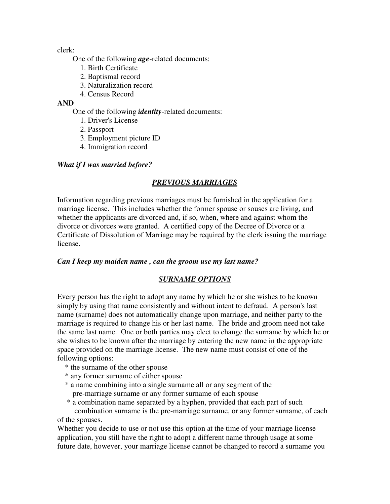clerk:

One of the following *age*-related documents:

- 1. Birth Certificate
- 2. Baptismal record
- 3. Naturalization record
- 4. Census Record

### **AND**

One of the following *identity*-related documents:

- 1. Driver's License
- 2. Passport
- 3. Employment picture ID
- 4. Immigration record

# *What if I was married before?*

# *PREVIOUS MARRIAGES*

Information regarding previous marriages must be furnished in the application for a marriage license. This includes whether the former spouse or souses are living, and whether the applicants are divorced and, if so, when, where and against whom the divorce or divorces were granted. A certified copy of the Decree of Divorce or a Certificate of Dissolution of Marriage may be required by the clerk issuing the marriage license.

### *Can I keep my maiden name , can the groom use my last name?*

### *SURNAME OPTIONS*

Every person has the right to adopt any name by which he or she wishes to be known simply by using that name consistently and without intent to defraud. A person's last name (surname) does not automatically change upon marriage, and neither party to the marriage is required to change his or her last name. The bride and groom need not take the same last name. One or both parties may elect to change the surname by which he or she wishes to be known after the marriage by entering the new name in the appropriate space provided on the marriage license. The new name must consist of one of the following options:

- \* the surname of the other spouse
- \* any former surname of either spouse
- \* a name combining into a single surname all or any segment of the pre-marriage surname or any former surname of each spouse

 \* a combination name separated by a hyphen, provided that each part of such combination surname is the pre-marriage surname, or any former surname, of each of the spouses.

Whether you decide to use or not use this option at the time of your marriage license application, you still have the right to adopt a different name through usage at some future date, however, your marriage license cannot be changed to record a surname you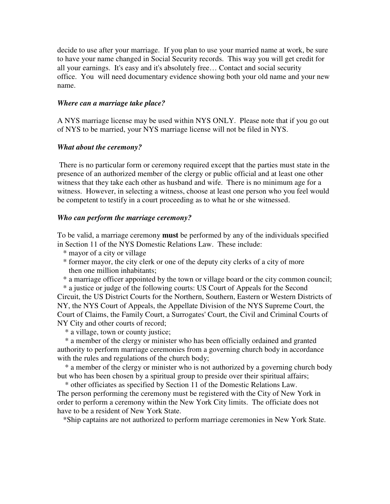decide to use after your marriage. If you plan to use your married name at work, be sure to have your name changed in Social Security records. This way you will get credit for all your earnings. It's easy and it's absolutely free… Contact and social security office. You will need documentary evidence showing both your old name and your new name.

#### *Where can a marriage take place?*

A NYS marriage license may be used within NYS ONLY. Please note that if you go out of NYS to be married, your NYS marriage license will not be filed in NYS.

#### *What about the ceremony?*

 There is no particular form or ceremony required except that the parties must state in the presence of an authorized member of the clergy or public official and at least one other witness that they take each other as husband and wife. There is no minimum age for a witness. However, in selecting a witness, choose at least one person who you feel would be competent to testify in a court proceeding as to what he or she witnessed.

#### *Who can perform the marriage ceremony?*

To be valid, a marriage ceremony **must** be performed by any of the individuals specified in Section 11 of the NYS Domestic Relations Law. These include:

- \* mayor of a city or village
- \* former mayor, the city clerk or one of the deputy city clerks of a city of more then one million inhabitants;
- \* a marriage officer appointed by the town or village board or the city common council;

 \* a justice or judge of the following courts: US Court of Appeals for the Second Circuit, the US District Courts for the Northern, Southern, Eastern or Western Districts of NY, the NYS Court of Appeals, the Appellate Division of the NYS Supreme Court, the Court of Claims, the Family Court, a Surrogates' Court, the Civil and Criminal Courts of NY City and other courts of record;

\* a village, town or county justice;

 \* a member of the clergy or minister who has been officially ordained and granted authority to perform marriage ceremonies from a governing church body in accordance with the rules and regulations of the church body;

 \* a member of the clergy or minister who is not authorized by a governing church body but who has been chosen by a spiritual group to preside over their spiritual affairs;

\* other officiates as specified by Section 11 of the Domestic Relations Law.

The person performing the ceremony must be registered with the City of New York in order to perform a ceremony within the New York City limits. The officiate does not have to be a resident of New York State.

\*Ship captains are not authorized to perform marriage ceremonies in New York State.